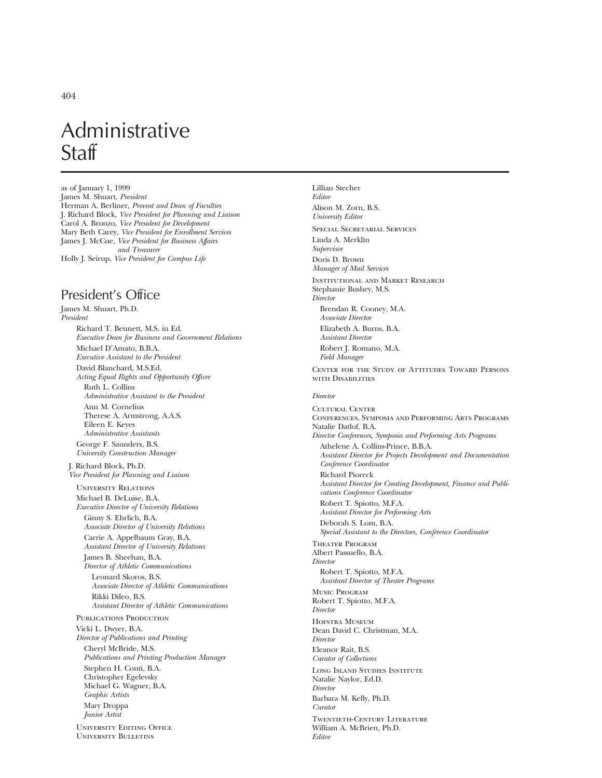as of January 1, 1999 James M. Shuart, *President* Herman A. Berliner, *Provost and Dean of Faculties* J. Richard Block, *Vice President for Planning and Liaison* Carol A. Bronzo, *Vice President for Development* Mary Beth Carey, *Vice President for Enrollment Services* James J. McCue, *Vice President for Business Affairs and Treasurer* Holly J. Seirup, *Vice President for Campus Life*

# President's Office

James M. Shuart, Ph.D. *President* Richard T. Bennett, M.S. in Ed. *Executive Dean for Business and Government Relations* Michael D'Amato, B.B.A. *Executive Assistant to the President* David Blanchard, M.S.Ed. *Acting Equal Rights and Opportunity Officer* Ruth L. Collins *Administrative Assistant to the President* Ann M. Cornelius Therese A. Armstrong, A.A.S. Eileen E. Keyes *Administrative Assistants* George F. Saunders, B.S. *University Construction Manager* J. Richard Block, Ph.D. *Vice President for Planning and Liaison* University Relations Michael B. DeLuise, B.A. *Executive Director of University Relations* Ginny S. Ehrlich, B.A. *Associate Director of University Relations* Carrie A. Appelbaum Gray, B.A. *Assistant Director of University Relations* James B. Sheehan, B.A. *Director of Athletic Communications* Leonard Skoros, B.S. *Associate Director of Athletic Communications* Rikki Dileo, B.S. *Assistant Director of Athletic Communications* PUBLICATIONS PRODUCTION Vicki L. Dwyer, B.A. *Director of Publications and Printing* Cheryl McBride, M.S. *Publications and Printing Production Manager* Stephen H. Conti, B.A. Christopher Egelevsky Michael G. Wagner, B.A. *Graphic Artists* Mary Droppa *Junior Artist* University Editing Office University Bulletins

Lillian Stecher *Editor* Alison M. Zorn, B.S. *University Editor* Special Secretarial Services Linda A. Merklin *Supervisor* Doris D. Brown *Manager of Mail Services* Institutional and Market Research Stephanie Bushey, M.S. *Director* Brendan R. Cooney, M.A. *Associate Director* Elizabeth A. Burns, B.A. *Assistant Director* Robert J. Romano, M.A. *Field Manager* Center for the Study of Attitudes Toward Persons with Disabilities *Director* CHITURAL CENTER Conferences, Symposia and Performing Arts Programs Natalie Datlof, B.A. *Director Conferences, Symposia and Performing Arts Programs* Athelene A. Collins-Prince, B.B.A. *Assistant Director for Projects Development and Documentation Conference Coordinator* Richard Pioreck *Assistant Director for Creating Development, Finance and Publications Conference Coordinator* Robert T. Spiotto, M.F.A. *Assistant Director for Performing Arts* Deborah S. Lom, B.A. *Special Assistant to the Directors, Conference Coordinator* Theater Program Albert Passuello, B.A. *Director* Robert T. Spiotto, M.F.A. *Assistant Director of Theater Programs* Music Program Robert T. Spiotto, M.F.A. *Director* Hofstra Museum Dean David C. Christman, M.A. *Director* Eleanor Rait, B.S. *Curator of Collections* Long Island Studies Institute Natalie Naylor, Ed.D. *Director* Barbara M. Kelly, Ph.D. *Curator* Twentieth-Century Literature William A. McBrien, Ph.D. *Editor*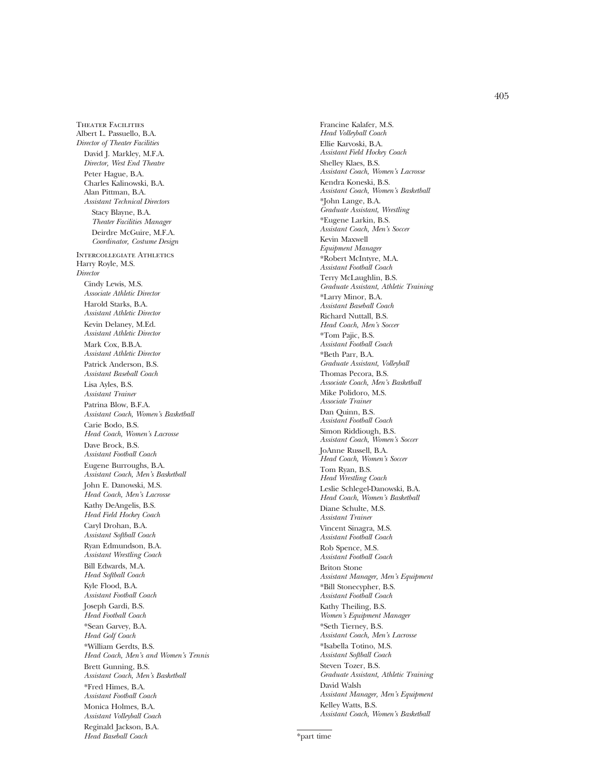405

Theater Facilities Albert L. Passuello, B.A. *Director of Theater Facilities* David J. Markley, M.F.A. *Director, West End Theatre* Peter Hague, B.A. Charles Kalinowski, B.A. Alan Pittman, B.A. *Assistant Technical Directors* Stacy Blayne, B.A. *Theater Facilities Manager* Deirdre McGuire, M.F.A. *Coordinator, Costume Design* Intercollegiate Athletics Harry Royle, M.S. *Director* Cindy Lewis, M.S. *Associate Athletic Director* Harold Starks, B.A. *Assistant Athletic Director* Kevin Delaney, M.Ed. *Assistant Athletic Director* Mark Cox, B.B.A. *Assistant Athletic Director* Patrick Anderson, B.S. *Assistant Baseball Coach* Lisa Ayles, B.S. *Assistant Trainer* Patrina Blow, B.F.A. *Assistant Coach, Women's Basketball* Carie Bodo, B.S. *Head Coach, Women's Lacrosse* Dave Brock, B.S. *Assistant Football Coach* Eugene Burroughs, B.A. *Assistant Coach, Men's Basketball* John E. Danowski, M.S. *Head Coach, Men's Lacrosse* Kathy DeAngelis, B.S. *Head Field Hockey Coach* Caryl Drohan, B.A. *Assistant Softball Coach* Ryan Edmundson, B.A. *Assistant Wrestling Coach* Bill Edwards, M.A. *Head Softball Coach* Kyle Flood, B.A. *Assistant Football Coach* Joseph Gardi, B.S. *Head Football Coach* \*Sean Garvey, B.A. *Head Golf Coach* \*William Gerdts, B.S. *Head Coach, Men's and Women's Tennis* Brett Gunning, B.S. *Assistant Coach, Men's Basketball* \*Fred Himes, B.A. *Assistant Football Coach* Monica Holmes, B.A. *Assistant Volleyball Coach* Reginald Jackson, B.A. *Head Baseball Coach*

Francine Kalafer, M.S. *Head Volleyball Coach* Ellie Karvoski, B.A. *Assistant Field Hockey Coach* Shelley Klaes, B.S. *Assistant Coach, Women's Lacrosse* Kendra Koneski, B.S. *Assistant Coach, Women's Basketball* \*John Lange, B.A. *Graduate Assistant, Wrestling* \*Eugene Larkin, B.S. *Assistant Coach, Men's Soccer* Kevin Maxwell *Equipment Manager* \*Robert McIntyre, M.A. *Assistant Football Coach* Terry McLaughlin, B.S. *Graduate Assistant, Athletic Training* \*Larry Minor, B.A. *Assistant Baseball Coach* Richard Nuttall, B.S. *Head Coach, Men's Soccer* \*Tom Pajic, B.S. *Assistant Football Coach* \*Beth Parr, B.A. *Graduate Assistant, Volleyball* Thomas Pecora, B.S. *Associate Coach, Men's Basketball* Mike Polidoro, M.S. *Associate Trainer* Dan Quinn, B.S. *Assistant Football Coach* Simon Riddiough, B.S. *Assistant Coach, Women's Soccer* JoAnne Russell, B.A. *Head Coach, Women's Soccer* Tom Ryan, B.S. *Head Wrestling Coach* Leslie Schlegel-Danowski, B.A. *Head Coach, Women's Basketball* Diane Schulte, M.S. *Assistant Trainer* Vincent Sinagra, M.S. *Assistant Football Coach* Rob Spence, M.S. *Assistant Football Coach* Briton Stone *Assistant Manager, Men's Equipment* \*Bill Stonecypher, B.S. *Assistant Football Coach* Kathy Theiling, B.S. *Women's Equipment Manager* \*Seth Tierney, B.S. *Assistant Coach, Men's Lacrosse* \*Isabella Totino, M.S. *Assistant Softball Coach* Steven Tozer, B.S. *Graduate Assistant, Athletic Training* David Walsh *Assistant Manager, Men's Equipment* Kelley Watts, B.S. *Assistant Coach, Women's Basketball*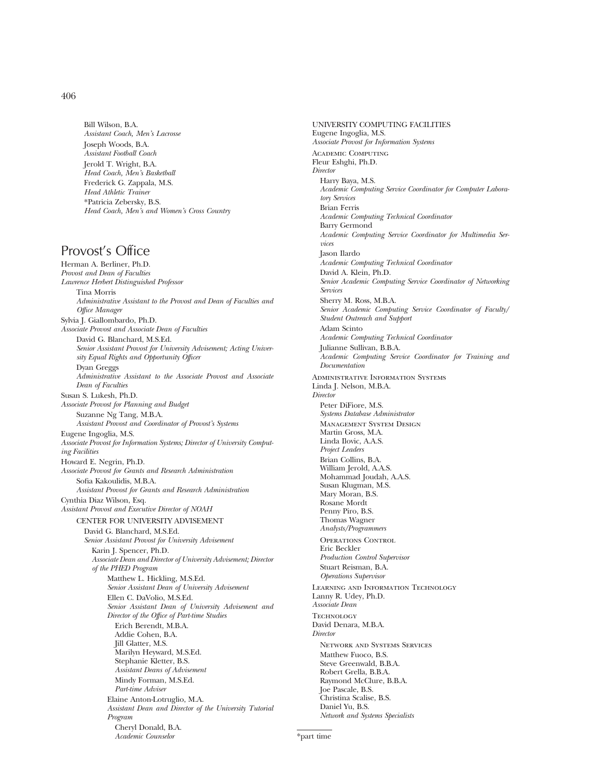Bill Wilson, B.A. *Assistant Coach, Men's Lacrosse* Joseph Woods, B.A. *Assistant Football Coach* Jerold T. Wright, B.A. *Head Coach, Men's Basketball* Frederick G. Zappala, M.S. *Head Athletic Trainer* \*Patricia Zebersky, B.S. *Head Coach, Men's and Women's Cross Country*

# Provost's Office

Herman A. Berliner, Ph.D. *Provost and Dean of Faculties Lawrence Herbert Distinguished Professor* Tina Morris *Administrative Assistant to the Provost and Dean of Faculties and Office Manager* Sylvia J. Giallombardo, Ph.D. *Associate Provost and Associate Dean of Faculties* David G. Blanchard, M.S.Ed. *Senior Assistant Provost for University Advisement; Acting University Equal Rights and Opportunity Officer* Dyan Greggs *Administrative Assistant to the Associate Provost and Associate Dean of Faculties* Susan S. Lukesh, Ph.D. *Associate Provost for Planning and Budget* Suzanne Ng Tang, M.B.A. *Assistant Provost and Coordinator of Provost's Systems* Eugene Ingoglia, M.S. *Associate Provost for Information Systems; Director of University Computing Facilities* Howard E. Negrin, Ph.D. *Associate Provost for Grants and Research Administration* Sofia Kakoulidis, M.B.A. *Assistant Provost for Grants and Research Administration* Cynthia Diaz Wilson, Esq. *Assistant Provost and Executive Director of NOAH* CENTER FOR UNIVERSITY ADVISEMENT David G. Blanchard, M.S.Ed. *Senior Assistant Provost for University Advisement* Karin J. Spencer, Ph.D. *Associate Dean and Director of University Advisement; Director of the PHED Program* Matthew L. Hickling, M.S.Ed. *Senior Assistant Dean of University Advisement* Ellen C. DaVolio, M.S.Ed. *Senior Assistant Dean of University Advisement and Director of the Office of Part-time Studies* Erich Berendt, M.B.A. Addie Cohen, B.A. Jill Glatter, M.S. Marilyn Heyward, M.S.Ed. Stephanie Kletter, B.S. *Assistant Deans of Advisement* Mindy Forman, M.S.Ed. *Part-time Adviser* Elaine Anton-Lotruglio, M.A. *Assistant Dean and Director of the University Tutorial Program* Cheryl Donald, B.A. *Academic Counselor*

UNIVERSITY COMPUTING FACILITIES Eugene Ingoglia, M.S. *Associate Provost for Information Systems* Academic Computing Fleur Eshghi, Ph.D. *Director* Harry Baya, M.S. *Academic Computing Service Coordinator for Computer Laboratory Services* Brian Ferris *Academic Computing Technical Coordinator* Barry Germond *Academic Computing Service Coordinator for Multimedia Services* Jason Ilardo *Academic Computing Technical Coordinator* David A. Klein, Ph.D. *Senior Academic Computing Service Coordinator of Networking Services* Sherry M. Ross, M.B.A. *Senior Academic Computing Service Coordinator of Faculty/ Student Outreach and Support* Adam Scinto *Academic Computing Technical Coordinator* Julianne Sullivan, B.B.A. *Academic Computing Service Coordinator for Training and Documentation* Administrative Information Systems Linda J. Nelson, M.B.A. *Director* Peter DiFiore, M.S. *Systems Database Administrator* Management System Design Martin Gross, M.A. Linda Ilovic, A.A.S. *Project Leaders* Brian Collins, B.A. William Jerold, A.A.S. Mohammad Joudah, A.A.S. Susan Klugman, M.S. Mary Moran, B.S. Rosane Mordt Penny Piro, B.S. Thomas Wagner *Analysts/Programmers* OPERATIONS CONTROL Eric Beckler *Production Control Supervisor* Stuart Reisman, B.A. *Operations Supervisor* Learning and Information Technology Lanny R. Udey, Ph.D. *Associate Dean* **TECHNOLOGY** David Denara, M.B.A. *Director* Network and Systems Services Matthew Fuoco, B.S. Steve Greenwald, B.B.A. Robert Grella, B.B.A. Raymond McClure, B.B.A. Joe Pascale, B.S. Christina Scalise, B.S. Daniel Yu, B.S. *Network and Systems Specialists*

\*part time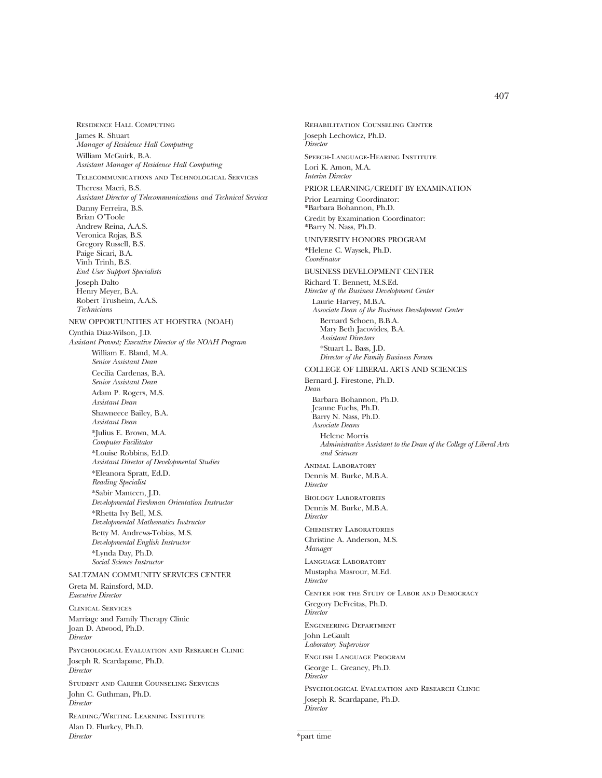Residence Hall Computing James R. Shuart *Manager of Residence Hall Computing* William McGuirk, B.A. *Assistant Manager of Residence Hall Computing* Telecommunications and Technological Services Theresa Macri, B.S. *Assistant Director of Telecommunications and Technical Services* Danny Ferreira, B.S. Brian O'Toole Andrew Reina, A.A.S. Veronica Rojas, B.S. Gregory Russell, B.S. Paige Sicari, B.A. Vinh Trinh, B.S. *End User Support Specialists* Joseph Dalto Henry Meyer, B.A. Robert Trusheim, A.A.S. *Technicians* NEW OPPORTUNITIES AT HOFSTRA (NOAH) Cynthia Diaz-Wilson, J.D. *Assistant Provost; Executive Director of the NOAH Program* William E. Bland, M.A. *Senior Assistant Dean* Cecilia Cardenas, B.A. *Senior Assistant Dean* Adam P. Rogers, M.S. *Assistant Dean* Shawneece Bailey, B.A. *Assistant Dean* \*Julius E. Brown, M.A. *Computer Facilitator* \*Louise Robbins, Ed.D. *Assistant Director of Developmental Studies* \*Eleanora Spratt, Ed.D. *Reading Specialist* \*Sabir Manteen, J.D. *Developmental Freshman Orientation Instructor* \*Rhetta Ivy Bell, M.S. *Developmental Mathematics Instructor* Betty M. Andrews-Tobias, M.S. *Developmental English Instructor* \*Lynda Day, Ph.D. *Social Science Instructor* SALTZMAN COMMUNITY SERVICES CENTER Greta M. Rainsford, M.D. *Executive Director* Clinical Services Marriage and Family Therapy Clinic Joan D. Atwood, Ph.D. *Director* Psychological Evaluation and Research Clinic Joseph R. Scardapane, Ph.D. *Director* Student and Career Counseling Services John C. Guthman, Ph.D. *Director* Reading/Writing Learning Institute Alan D. Flurkey, Ph.D.

*Director*

Rehabilitation Counseling Center Joseph Lechowicz, Ph.D. *Director* Speech-Language-Hearing Institute Lori K. Amon, M.A. *Interim Director* PRIOR LEARNING/CREDIT BY EXAMINATION Prior Learning Coordinator: \*Barbara Bohannon, Ph.D. Credit by Examination Coordinator: \*Barry N. Nass, Ph.D. UNIVERSITY HONORS PROGRAM \*Helene C. Waysek, Ph.D. *Coordinator* BUSINESS DEVELOPMENT CENTER Richard T. Bennett, M.S.Ed. *Director of the Business Development Center* Laurie Harvey, M.B.A. *Associate Dean of the Business Development Center* Bernard Schoen, B.B.A. Mary Beth Jacovides, B.A. *Assistant Directors* \*Stuart L. Bass, J.D. *Director of the Family Business Forum* COLLEGE OF LIBERAL ARTS AND SCIENCES Bernard J. Firestone, Ph.D. *Dean* Barbara Bohannon, Ph.D. Jeanne Fuchs, Ph.D. Barry N. Nass, Ph.D. *Associate Deans* Helene Morris *Administrative Assistant to the Dean of the College of Liberal Arts and Sciences* ANIMAL LABORATORY Dennis M. Burke, M.B.A. *Director* Biology Laboratories Dennis M. Burke, M.B.A. *Director* Chemistry Laboratories Christine A. Anderson, M.S. *Manager* Language Laboratory Mustapha Masrour, M.Ed. *Director* Center for the Study of Labor and Democracy Gregory DeFreitas, Ph.D. *Director* Engineering Department John LeGault *Laboratory Supervisor* English Language Program George L. Greaney, Ph.D. *Director* Psychological Evaluation and Research Clinic Joseph R. Scardapane, Ph.D. *Director*

\*part time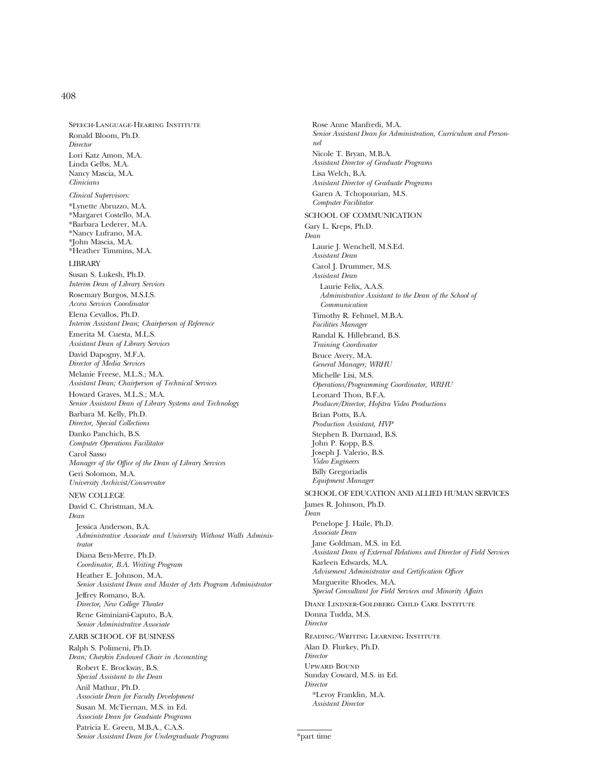Speech-Language-Hearing Institute Ronald Bloom, Ph.D. *Director* Lori Katz Amon, M.A. Linda Gelbs, M.A. Nancy Mascia, M.A. *Clinicians Clinical Supervisors:* \*Lynette Abruzzo, M.A. \*Margaret Costello, M.A. \*Barbara Lederer, M.A. \*Nancy Lufrano, M.A. \*John Mascia, M.A. \*Heather Timmins, M.A. LIBRARY Susan S. Lukesh, Ph.D. *Interim Dean of Library Services* Rosemary Burgos, M.S.I.S. *Access Services Coordinator* Elena Cevallos, Ph.D. *Interim Assistant Dean; Chairperson of Reference* Emerita M. Cuesta, M.L.S. *Assistant Dean of Library Services* David Dapogny, M.F.A. *Director of Media Services* Melanie Freese, M.L.S.; M.A. *Assistant Dean; Chairperson of Technical Services* Howard Graves, M.L.S.; M.A. *Senior Assistant Dean of Library Systems and Technology* Barbara M. Kelly, Ph.D. *Director, Special Collections* Danko Panchich, B.S. *Computer Operations Facilitator* Carol Sasso *Manager of the Office of the Dean of Library Services* Geri Solomon, M.A. *University Archivist/Conservator* NEW COLLEGE David C. Christman, M.A. *Dean* Jessica Anderson, B.A. *Administrative Associate and University Without Walls Administrator* Diana Ben-Merre, Ph.D.

*Coordinator, B.A. Writing Program* Heather E. Johnson, M.A. *Senior Assistant Dean and Master of Arts Program Administrator* Jeffrey Romano, B.A. *Director, New College Theater* Rene Giminiani-Caputo, B.A. *Senior Administrative Associate*

#### ZARB SCHOOL OF BUSINESS

Ralph S. Polimeni, Ph.D. *Dean; Chaykin Endowed Chair in Accounting* Robert E. Brockway, B.S. *Special Assistant to the Dean* Anil Mathur, Ph.D. *Associate Dean for Faculty Development* Susan M. McTiernan, M.S. in Ed. *Associate Dean for Graduate Programs* Patricia E. Green, M.B.A., C.A.S. *Senior Assistant Dean for Undergraduate Programs*

Rose Anne Manfredi, M.A. *Senior Assistant Dean for Administration, Curriculum and Personnel* Nicole T. Bryan, M.B.A. *Assistant Director of Graduate Programs* Lisa Welch, B.A. *Assistant Director of Graduate Programs* Garen A. Tchopourian, M.S. *Computer Facilitator* SCHOOL OF COMMUNICATION Gary L. Kreps, Ph.D. *Dean* Laurie J. Wenchell, M.S.Ed. *Assistant Dean* Carol J. Drummer, M.S. *Assistant Dean* Laurie Felix, A.A.S. *Administrative Assistant to the Dean of the School of Communication* Timothy R. Fehmel, M.B.A. *Facilities Manager* Randal K. Hillebrand, B.S. *Training Coordinator* Bruce Avery, M.A. *General Manager, WRHU* Michelle Lisi, M.S. *Operations/Programming Coordinator, WRHU* Leonard Thon, B.F.A. *Producer/Director, Hofstra Video Productions* Brian Potts, B.A. *Production Assistant, HVP* Stephen B. Darnaud, B.S. John P. Kopp, B.S. Joseph J. Valerio, B.S. *Video Engineers* Billy Gregoriadis *Equipment Manager* SCHOOL OF EDUCATION AND ALLIED HUMAN SERVICES James R. Johnson, Ph.D. *Dean* Penelope J. Haile, Ph.D. *Associate Dean* Jane Goldman, M.S. in Ed. *Assistant Dean of External Relations and Director of Field Services* Karleen Edwards, M.A. *Advisement Administrator and Certification Officer* Marguerite Rhodes, M.A. *Special Consultant for Field Services and Minority Affairs* Diane Lindner-Goldberg Child Care Institute Donna Tudda, M.S. *Director* Reading/Writing Learning Institute Alan D. Flurkey, Ph.D. *Director* Upward Bound Sunday Coward, M.S. in Ed. *Director* \*Leroy Franklin, M.A. *Assistant Director*

\*part time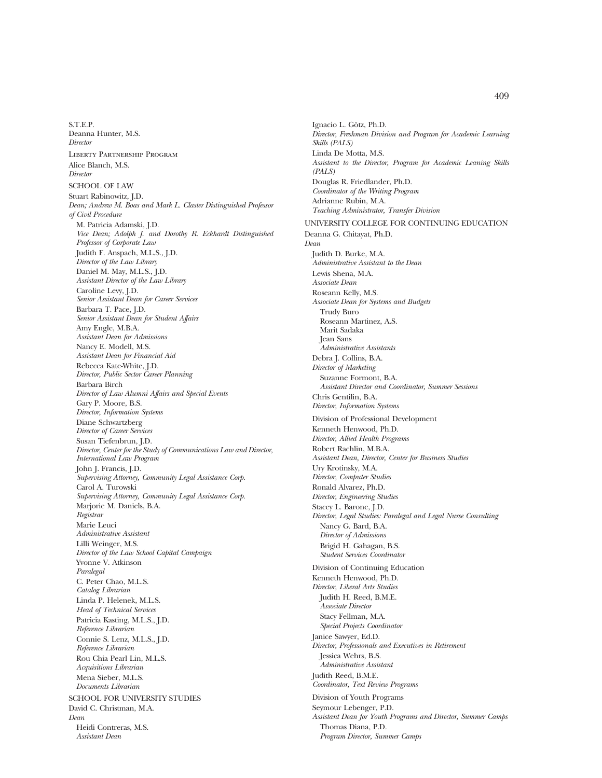S.T.E.P. Deanna Hunter, M.S. *Director* Liberty Partnership Program Alice Blanch, M.S. *Director* SCHOOL OF LAW Stuart Rabinowitz, J.D. *Dean; Andrew M. Boas and Mark L. Claster Distinguished Professor of Civil Procedure* M. Patricia Adamski, J.D. *Vice Dean; Adolph J. and Dorothy R. Eckhardt Distinguished Professor of Corporate Law* Judith F. Anspach, M.L.S., J.D. *Director of the Law Library* Daniel M. May, M.L.S., J.D. *Assistant Director of the Law Library* Caroline Levy, J.D. *Senior Assistant Dean for Career Services* Barbara T. Pace, J.D. *Senior Assistant Dean for Student Affairs* Amy Engle, M.B.A. *Assistant Dean for Admissions* Nancy E. Modell, M.S. *Assistant Dean for Financial Aid* Rebecca Kate-White, J.D. *Director, Public Sector Career Planning* Barbara Birch *Director of Law Alumni Affairs and Special Events* Gary P. Moore, B.S. *Director, Information Systems* Diane Schwartzberg *Director of Career Services* Susan Tiefenbrun, J.D. *Director, Center for the Study of Communications Law and Director, International Law Program* John J. Francis, J.D. *Supervising Attorney, Community Legal Assistance Corp.* Carol A. Turowski *Supervising Attorney, Community Legal Assistance Corp.* Marjorie M. Daniels, B.A. *Registrar* Marie Leuci *Administrative Assistant* Lilli Weinger, M.S. *Director of the Law School Capital Campaign* Yvonne V. Atkinson *Paralegal* C. Peter Chao, M.L.S. *Catalog Librarian* Linda P. Helenek, M.L.S. *Head of Technical Services* Patricia Kasting, M.L.S., J.D. *Reference Librarian* Connie S. Lenz, M.L.S., J.D. *Reference Librarian* Rou Chia Pearl Lin, M.L.S. *Acquisitions Librarian* Mena Sieber, M.L.S. *Documents Librarian* SCHOOL FOR UNIVERSITY STUDIES David C. Christman, M.A. *Dean* Heidi Contreras, M.S. *Assistant Dean*

Ignacio L. Götz, Ph.D. *Director, Freshman Division and Program for Academic Learning Skills (PALS)* Linda De Motta, M.S. *Assistant to the Director, Program for Academic Leaning Skills (PALS)* Douglas R. Friedlander, Ph.D. *Coordinator of the Writing Program* Adrianne Rubin, M.A. *Teaching Administrator, Transfer Division* UNIVERSITY COLLEGE FOR CONTINUING EDUCATION Deanna G. Chitayat, Ph.D. *Dean* Judith D. Burke, M.A. *Administrative Assistant to the Dean* Lewis Shena, M.A. *Associate Dean* Roseann Kelly, M.S. *Associate Dean for Systems and Budgets* Trudy Buro Roseann Martinez, A.S. Marit Sadaka Jean Sans *Administrative Assistants* Debra J. Collins, B.A. *Director of Marketing* Suzanne Formont, B.A. *Assistant Director and Coordinator, Summer Sessions* Chris Gentilin, B.A. *Director, Information Systems* Division of Professional Development Kenneth Henwood, Ph.D. *Director, Allied Health Programs* Robert Rachlin, M.B.A. *Assistant Dean, Director, Center for Business Studies* Ury Krotinsky, M.A. *Director, Computer Studies* Ronald Alvarez, Ph.D. *Director, Engineering Studies* Stacey L. Barone, J.D. *Director, Legal Studies: Paralegal and Legal Nurse Consulting* Nancy G. Bard, B.A. *Director of Admissions* Brigid H. Gahagan, B.S. *Student Services Coordinator* Division of Continuing Education Kenneth Henwood, Ph.D. *Director, Liberal Arts Studies* Judith H. Reed, B.M.E. *Associate Director* Stacy Fellman, M.A. *Special Projects Coordinator* Janice Sawyer, Ed.D. *Director, Professionals and Executives in Retirement* Jessica Wehrs, B.S. *Administrative Assistant* Judith Reed, B.M.E. *Coordinator, Text Review Programs* Division of Youth Programs Seymour Lebenger, P.D. *Assistant Dean for Youth Programs and Director, Summer Camps* Thomas Diana, P.D. *Program Director, Summer Camps*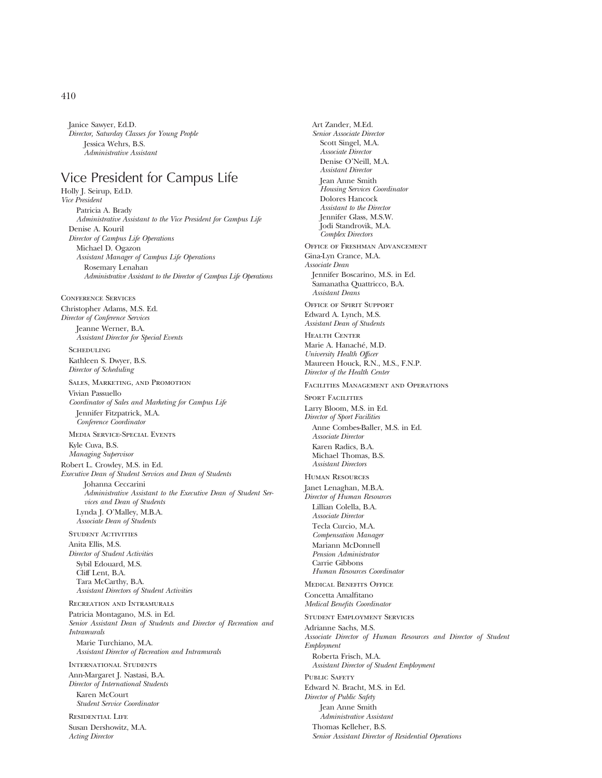Janice Sawyer, Ed.D. *Director, Saturday Classes for Young People* Jessica Wehrs, B.S. *Administrative Assistant*

# Vice President for Campus Life

Holly J. Seirup, Ed.D. *Vice President* Patricia A. Brady *Administrative Assistant to the Vice President for Campus Life* Denise A. Kouril *Director of Campus Life Operations* Michael D. Ogazon *Assistant Manager of Campus Life Operations* Rosemary Lenahan *Administrative Assistant to the Director of Campus Life Operations*

Conference Services Christopher Adams, M.S. Ed. *Director of Conference Services* Jeanne Werner, B.A. *Assistant Director for Special Events*

**SCHEDULING** Kathleen S. Dwyer, B.S. *Director of Scheduling*

Sales, Marketing, and Promotion Vivian Passuello *Coordinator of Sales and Marketing for Campus Life* Jennifer Fitzpatrick, M.A. *Conference Coordinator*

Media Service-Special Events

Kyle Cuva, B.S. *Managing Supervisor*

Robert L. Crowley, M.S. in Ed. *Executive Dean of Student Services and Dean of Students* Johanna Ceccarini *Administrative Assistant to the Executive Dean of Student Services and Dean of Students* Lynda J. O'Malley, M.B.A. *Associate Dean of Students*

Student Activities Anita Ellis, M.S. *Director of Student Activities* Sybil Edouard, M.S. Cliff Lent, B.A. Tara McCarthy, B.A. *Assistant Directors of Student Activities*

Recreation and Intramurals Patricia Montagano, M.S. in Ed. *Senior Assistant Dean of Students and Director of Recreation and Intramurals* Marie Turchiano, M.A. *Assistant Director of Recreation and Intramurals*

International Students

Ann-Margaret J. Nastasi, B.A. *Director of International Students*

Karen McCourt *Student Service Coordinator*

Residential Life Susan Dershowitz, M.A. *Acting Director*

*Senior Associate Director* Scott Singel, M.A. *Associate Director* Denise O'Neill, M.A. *Assistant Director* Jean Anne Smith *Housing Services Coordinator* Dolores Hancock *Assistant to the Director* Jennifer Glass, M.S.W. Jodi Standrovik, M.A. *Complex Directors* Office of Freshman Advancement Gina-Lyn Crance, M.A. *Associate Dean* Jennifer Boscarino, M.S. in Ed. Samanatha Quattricco, B.A. *Assistant Deans* Office of Spirit Support Edward A. Lynch, M.S. *Assistant Dean of Students* HEALTH CENTER Marie A. Hanaché, M.D. *University Health Officer* Maureen Houck, R.N., M.S., F.N.P. *Director of the Health Center* Facilities Management and Operations SPORT FACILITIES Larry Bloom, M.S. in Ed. *Director of Sport Facilities* Anne Combes-Baller, M.S. in Ed. *Associate Director* Karen Radics, B.A. Michael Thomas, B.S. *Assistant Directors* Human Resources Janet Lenaghan, M.B.A. *Director of Human Resources* Lillian Colella, B.A. *Associate Director* Tecla Curcio, M.A. *Compensation Manager* Mariann McDonnell *Pension Administrator* Carrie Gibbons *Human Resources Coordinator* Medical Benefits Office Concetta Amalfitano *Medical Benefits Coordinator* Student Employment Services Adrianne Sachs, M.S. *Associate Director of Human Resources and Director of Student Employment* Roberta Frisch, M.A. *Assistant Director of Student Employment* PUBLIC SAFETY Edward N. Bracht, M.S. in Ed. *Director of Public Safety* Jean Anne Smith *Administrative Assistant* Thomas Kelleher, B.S. *Senior Assistant Director of Residential Operations*

Art Zander, M.Ed.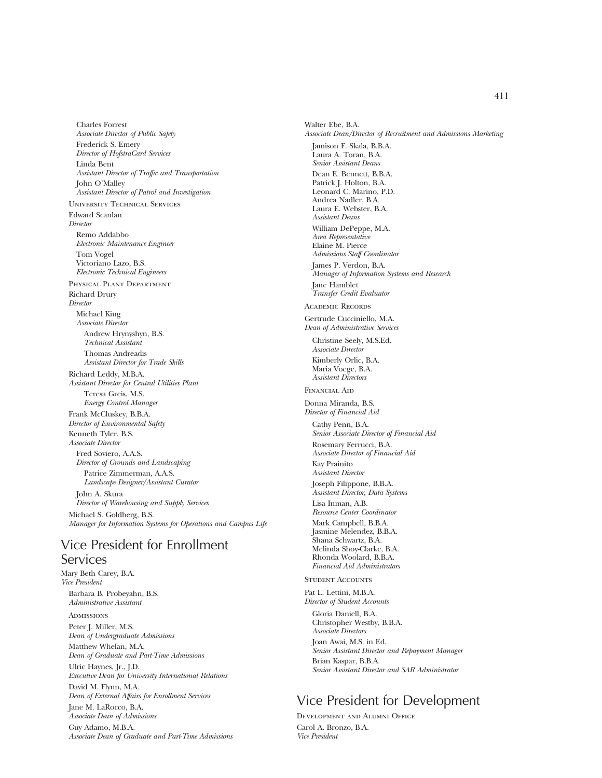Charles Forrest *Associate Director of Public Safety* Frederick S. Emery *Director of HofstraCard Services* Linda Bent *Assistant Director of Traffic and Transportation* John O'Malley *Assistant Director of Patrol and Investigation* University Technical Services Edward Scanlan *Director* Remo Addabbo *Electronic Maintenance Engineer* Tom Vogel Victoriano Lazo, B.S. *Electronic Technical Engineers* Physical Plant Department Richard Drury *Director* Michael King *Associate Director* Andrew Hrynyshyn, B.S. *Technical Assistant* Thomas Andreadis *Assistant Director for Trade Skills* Richard Leddy, M.B.A. *Assistant Director for Central Utilities Plant* Teresa Greis, M.S. *Energy Control Manager* Frank McCluskey, B.B.A. *Director of Environmental Safety* Kenneth Tyler, B.S. *Associate Director* Fred Soviero, A.A.S. *Director of Grounds and Landscaping* Patrice Zimmerman, A.A.S. *Landscape Designer/Assistant Curator* John A. Skura *Director of Warehousing and Supply Services* Michael S. Goldberg, B.S. *Manager for Information Systems for Operations and Campus Life*

# Vice President for Enrollment **Services**

Mary Beth Carey, B.A. *Vice President* Barbara B. Probeyahn, B.S. *Administrative Assistant*

**ADMISSIONS** Peter J. Miller, M.S. *Dean of Undergraduate Admissions* Matthew Whelan, M.A.

*Dean of Graduate and Part-Time Admissions*

Ulric Haynes, Jr., J.D. *Executive Dean for University International Relations* David M. Flynn, M.A.

*Dean of External Affairs for Enrollment Services* Jane M. LaRocco, B.A.

*Associate Dean of Admissions*

Guy Adamo, M.B.A. *Associate Dean of Graduate and Part-Time Admissions* Walter Ebe, B.A. *Associate Dean/Director of Recruitment and Admissions Marketing* Jamison F. Skala, B.B.A. Laura A. Toran, B.A. *Senior Assistant Deans* Dean E. Bennett, B.B.A. Patrick J. Holton, B.A. Leonard C. Marino, P.D. Andrea Nadler, B.A. Laura E. Webster, B.A. *Assistant Deans* William DePeppe, M.A. *Area Representative* Elaine M. Pierce *Admissions Staff Coordinator* James P. Verdon, B.A. *Manager of Information Systems and Research* Jane Hamblet *Transfer Credit Evaluator* Academic Records Gertrude Cucciniello, M.A. *Dean of Administrative Services* Christine Seely, M.S.Ed. *Associate Director* Kimberly Orlic, B.A. Maria Voege, B.A. *Assistant Directors* Financial Aid Donna Miranda, B.S. *Director of Financial Aid* Cathy Penn, B.A. *Senior Associate Director of Financial Aid* Rosemary Ferrucci, B.A. *Associate Director of Financial Aid* Kay Prainito *Assistant Director* Joseph Filippone, B.B.A. *Assistant Director, Data Systems* Lisa Inman, A.B. *Resource Center Coordinator* Mark Campbell, B.B.A. Jasmine Melendez, B.B.A. Shana Schwartz, B.A. Melinda Shoy-Clarke, B.A. Rhonda Woolard, B.B.A. *Financial Aid Administrators* STUDENT ACCOUNTS Pat L. Lettini, M.B.A. *Director of Student Accounts* Gloria Daniell, B.A. Christopher Westby, B.B.A. *Associate Directors*

Joan Awai, M.S. in Ed. *Senior Assistant Director and Repayment Manager* Brian Kaspar, B.B.A. *Senior Assistant Director and SAR Administrator*

# Vice President for Development

Development and Alumni Office Carol A. Bronzo, B.A. *Vice President*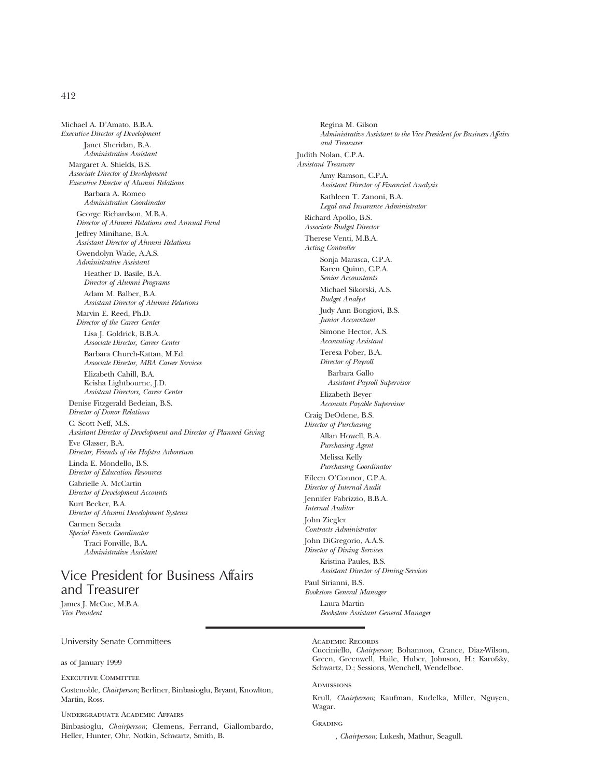Michael A. D'Amato, B.B.A. *Executive Director of Development* Janet Sheridan, B.A. *Administrative Assistant* Margaret A. Shields, B.S. *Associate Director of Development Executive Director of Alumni Relations* Barbara A. Romeo *Administrative Coordinator* George Richardson, M.B.A. *Director of Alumni Relations and Annual Fund* Jeffrey Minihane, B.A. *Assistant Director of Alumni Relations* Gwendolyn Wade, A.A.S. *Administrative Assistant* Heather D. Basile, B.A. *Director of Alumni Programs* Adam M. Balber, B.A. *Assistant Director of Alumni Relations* Marvin E. Reed, Ph.D. *Director of the Career Center* Lisa J. Goldrick, B.B.A. *Associate Director, Career Center* Barbara Church-Kattan, M.Ed. *Associate Director, MBA Career Services* Elizabeth Cahill, B.A. Keisha Lightbourne, J.D. *Assistant Directors, Career Center* Denise Fitzgerald Bedeian, B.S. *Director of Donor Relations* C. Scott Neff, M.S. *Assistant Director of Development and Director of Planned Giving* Eve Glasser, B.A. *Director, Friends of the Hofstra Arboretum* Linda E. Mondello, B.S. *Director of Education Resources* Gabrielle A. McCartin *Director of Development Accounts* Kurt Becker, B.A. *Director of Alumni Development Systems* Carmen Secada *Special Events Coordinator* Traci Fonville, B.A. *Administrative Assistant*

# Vice President for Business Affairs and Treasurer

James J. McCue, M.B.A. *Vice President*

University Senate Committees

as of January 1999

Executive Committee

Costenoble, *Chairperson*; Berliner, Binbasioglu, Bryant, Knowlton, Martin, Ross.

Undergraduate Academic Affairs

Binbasioglu, *Chairperson*; Clemens, Ferrand, Giallombardo, Heller, Hunter, Ohr, Notkin, Schwartz, Smith, B.

Regina M. Gilson *Administrative Assistant to the Vice President for Business Affairs and Treasurer* Judith Nolan, C.P.A. *Assistant Treasurer* Amy Ramson, C.P.A. *Assistant Director of Financial Analysis* Kathleen T. Zanoni, B.A. *Legal and Insurance Administrator* Richard Apollo, B.S. *Associate Budget Director* Therese Venti, M.B.A. *Acting Controller* Sonja Marasca, C.P.A. Karen Quinn, C.P.A. *Senior Accountants* Michael Sikorski, A.S. *Budget Analyst* Judy Ann Bongiovi, B.S. *Junior Accountant* Simone Hector, A.S. *Accounting Assistant* Teresa Pober, B.A. *Director of Payroll* Barbara Gallo *Assistant Payroll Supervisor* Elizabeth Beyer *Accounts Payable Supervisor* Craig DeOdene, B.S. *Director of Purchasing* Allan Howell, B.A. *Purchasing Agent* Melissa Kelly *Purchasing Coordinator* Eileen O'Connor, C.P.A. *Director of Internal Audit* Jennifer Fabrizzio, B.B.A. *Internal Auditor* John Ziegler *Contracts Administrator* John DiGregorio, A.A.S. *Director of Dining Services* Kristina Paules, B.S. *Assistant Director of Dining Services* Paul Sirianni, B.S. *Bookstore General Manager* Laura Martin *Bookstore Assistant General Manager*

Academic Records

Cucciniello, *Chairperson*; Bohannon, Crance, Diaz-Wilson, Green, Greenwell, Haile, Huber, Johnson, H.; Karofsky, Schwartz, D.; Sessions, Wenchell, Wendelboe.

**ADMISSIONS** 

Krull, *Chairperson*; Kaufman, Kudelka, Miller, Nguyen, Wagar.

**GRADING** 

, *Chairperson*; Lukesh, Mathur, Seagull.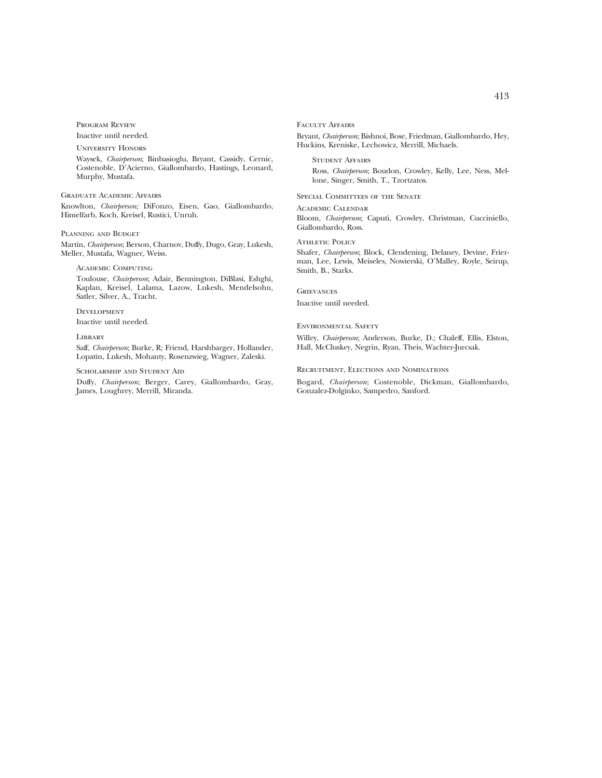Program Review

Inactive until needed.

University Honors

Waysek, *Chairperson*; Binbasioglu, Bryant, Cassidy, Cernic, Costenoble, D'Acierno, Giallombardo, Hastings, Leonard, Murphy, Mustafa.

#### Graduate Academic Affairs

Knowlton, *Chairperson;* DiFonzo, Eisen, Gao, Giallombardo, Himelfarb, Koch, Kreisel, Rustici, Unruh.

## Planning and Budget

Martin, *Chairperson*; Berson, Charnov, Duffy, Dugo, Gray, Lukesh, Meller, Mustafa, Wagner, Weiss.

#### Academic Computing

Toulouse, *Chairperson*; Adair, Bennington, DiBlasi, Eshghi, Kaplan, Kreisel, Lalama, Lazow, Lukesh, Mendelsohn, Satler, Silver, A., Tracht.

## Development Inactive until needed.

## **LIBRARY**

Saff, *Chairperson*; Burke, R; Friend, Harshbarger, Hollander, Lopatin, Lukesh, Mohanty, Rosenzwieg, Wagner, Zaleski.

#### Scholarship and Student Aid

Duffy, *Chairperson*; Berger, Carey, Giallombardo, Gray, James, Loughrey, Merrill, Miranda.

### FACULTY AFFAIRS

Bryant, *Chairperson*; Bishnoi, Bose, Friedman, Giallombardo, Hey, Huckins, Kreniske, Lechowicz, Merrill, Michaels.

Student Affairs Ross, *Chairperson*; Boudon, Crowley, Kelly, Lee, Ness, Mellone, Singer, Smith, T., Tzortzatos.

#### Special Committees of the Senate

Academic Calendar Bloom, *Chairperson*; Caputi, Crowley, Christman, Cucciniello, Giallombardo, Ross.

### Athletic Policy

Shafer, *Chairperson*; Block, Clendening, Delaney, Devine, Frierman, Lee, Lewis, Meiseles, Nowierski, O'Malley, Royle, Seirup, Smith, B., Starks.

#### **GRIEVANCES**

Inactive until needed.

#### Environmental Safety

Willey, *Chairperson*; Anderson, Burke, D.; Chaleff, Ellis, Elston, Hall, McCluskey, Negrin, Ryan, Theis, Wachter-Jurcsak.

## Recruitment, Elections and Nominations

Bogard, *Chairperson*; Costenoble, Dickman, Giallombardo, Gonzalez-Dolginko, Sampedro, Sanford.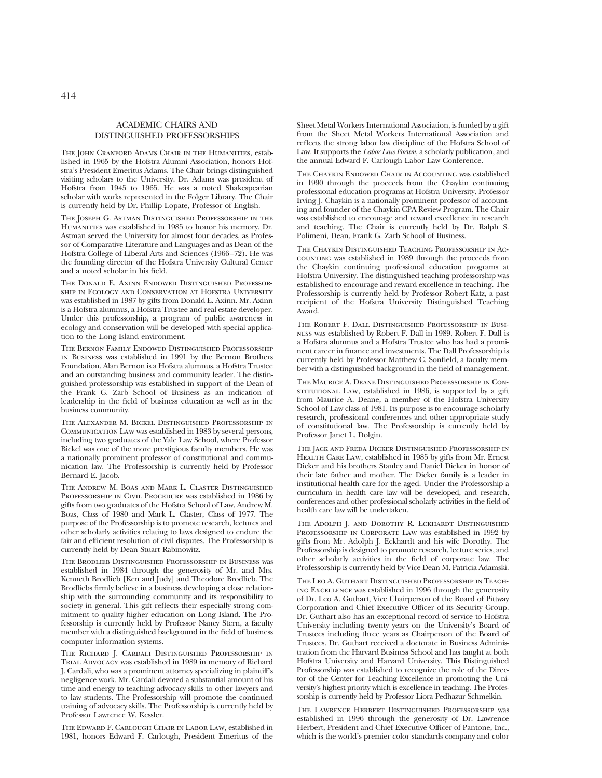# ACADEMIC CHAIRS AND DISTINGUISHED PROFESSORSHIPS

THE JOHN CRANFORD ADAMS CHAIR IN THE HUMANITIES, established in 1965 by the Hofstra Alumni Association, honors Hofstra's President Emeritus Adams. The Chair brings distinguished visiting scholars to the University. Dr. Adams was president of Hofstra from 1945 to 1965. He was a noted Shakespearian scholar with works represented in the Folger Library. The Chair is currently held by Dr. Phillip Lopate, Professor of English.

The Joseph G. Astman Distinguished Professorship in the Humanities was established in 1985 to honor his memory. Dr. Astman served the University for almost four decades, as Professor of Comparative Literature and Languages and as Dean of the Hofstra College of Liberal Arts and Sciences (1966–72). He was the founding director of the Hofstra University Cultural Center and a noted scholar in his field.

The Donald E. Axinn Endowed Distinguished Professorship in Ecology and Conservation at Hofstra University was established in 1987 by gifts from Donald E. Axinn. Mr. Axinn is a Hofstra alumnus, a Hofstra Trustee and real estate developer. Under this professorship, a program of public awareness in ecology and conservation will be developed with special application to the Long Island environment.

The Bernon Family Endowed Distinguished Professorship in Business was established in 1991 by the Bernon Brothers Foundation. Alan Bernon is a Hofstra alumnus, a Hofstra Trustee and an outstanding business and community leader. The distinguished professorship was established in support of the Dean of the Frank G. Zarb School of Business as an indication of leadership in the field of business education as well as in the business community.

The Alexander M. Bickel Distinguished Professorship in Communication Law was established in 1983 by several persons, including two graduates of the Yale Law School, where Professor Bickel was one of the more prestigious faculty members. He was a nationally prominent professor of constitutional and communication law. The Professorship is currently held by Professor Bernard E. Jacob.

The Andrew M. Boas and Mark L. Claster Distinguished PROFESSORSHIP IN CIVIL PROCEDURE was established in 1986 by gifts from two graduates of the Hofstra School of Law, Andrew M. Boas, Class of 1980 and Mark L. Claster, Class of 1977. The purpose of the Professorship is to promote research, lectures and other scholarly activities relating to laws designed to endure the fair and efficient resolution of civil disputes. The Professorship is currently held by Dean Stuart Rabinowitz.

The Brodlieb Distinguished Professorship in Business was established in 1984 through the generosity of Mr. and Mrs. Kenneth Brodlieb [Ken and Judy] and Theodore Brodlieb. The Brodliebs firmly believe in a business developing a close relationship with the surrounding community and its responsibility to society in general. This gift reflects their especially strong commitment to quality higher education on Long Island. The Professorship is currently held by Professor Nancy Stern, a faculty member with a distinguished background in the field of business computer information systems.

The Richard J. Cardali Distinguished Professorship in Trial Advocacy was established in 1989 in memory of Richard J. Cardali, who was a prominent attorney specializing in plaintiff's negligence work. Mr. Cardali devoted a substantial amount of his time and energy to teaching advocacy skills to other lawyers and to law students. The Professorship will promote the continued training of advocacy skills. The Professorship is currently held by Professor Lawrence W. Kessler.

The Edward F. Carlough Chair in Labor Law, established in 1981, honors Edward F. Carlough, President Emeritus of the

Sheet Metal Workers International Association, is funded by a gift from the Sheet Metal Workers International Association and reflects the strong labor law discipline of the Hofstra School of Law. It supports the *Labor Law Forum*, a scholarly publication, and the annual Edward F. Carlough Labor Law Conference.

The Chaykin Endowed Chair in Accounting was established in 1990 through the proceeds from the Chaykin continuing professional education programs at Hofstra University. Professor Irving J. Chaykin is a nationally prominent professor of accounting and founder of the Chaykin CPA Review Program. The Chair was established to encourage and reward excellence in research and teaching. The Chair is currently held by Dr. Ralph S. Polimeni, Dean, Frank G. Zarb School of Business.

The Chaykin Distinguished Teaching Professorship in Accounting was established in 1989 through the proceeds from the Chaykin continuing professional education programs at Hofstra University. The distinguished teaching professorship was established to encourage and reward excellence in teaching. The Professorship is currently held by Professor Robert Katz, a past recipient of the Hofstra University Distinguished Teaching Award.

The Robert F. Dall Distinguished Professorship in Business was established by Robert F. Dall in 1989. Robert F. Dall is a Hofstra alumnus and a Hofstra Trustee who has had a prominent career in finance and investments. The Dall Professorship is currently held by Professor Matthew C. Sonfield, a faculty member with a distinguished background in the field of management.

The Maurice A. Deane Distinguished Professorship in ConsTITUTIONAL LAW, established in 1986, is supported by a gift from Maurice A. Deane, a member of the Hofstra University School of Law class of 1981. Its purpose is to encourage scholarly research, professional conferences and other appropriate study of constitutional law. The Professorship is currently held by Professor Janet L. Dolgin.

The Jack and Freda Dicker Distinguished Professorship in HEALTH CARE LAW, established in 1985 by gifts from Mr. Ernest Dicker and his brothers Stanley and Daniel Dicker in honor of their late father and mother. The Dicker family is a leader in institutional health care for the aged. Under the Professorship a curriculum in health care law will be developed, and research, conferences and other professional scholarly activities in the field of health care law will be undertaken.

THE ADOLPH J. AND DOROTHY R. ECKHARDT DISTINGUISHED PROFESSORSHIP IN CORPORATE LAW was established in 1992 by gifts from Mr. Adolph J. Eckhardt and his wife Dorothy. The Professorship is designed to promote research, lecture series, and other scholarly activities in the field of corporate law. The Professorship is currently held by Vice Dean M. Patricia Adamski.

The Leo A. Guthart Distinguished Professorship in Teaching Excellence was established in 1996 through the generosity of Dr. Leo A. Guthart, Vice Chairperson of the Board of Pittway Corporation and Chief Executive Officer of its Security Group. Dr. Guthart also has an exceptional record of service to Hofstra University including twenty years on the University's Board of Trustees including three years as Chairperson of the Board of Trustees. Dr. Guthart received a doctorate in Business Administration from the Harvard Business School and has taught at both Hofstra University and Harvard University. This Distinguished Professorship was established to recognize the role of the Director of the Center for Teaching Excellence in promoting the University's highest priority which is excellence in teaching. The Professorship is currently held by Professor Liora Pedhazur Schmelkin.

The Lawrence Herbert Distinguished Professorship was established in 1996 through the generosity of Dr. Lawrence Herbert, President and Chief Executive Officer of Pantone, Inc., which is the world's premier color standards company and color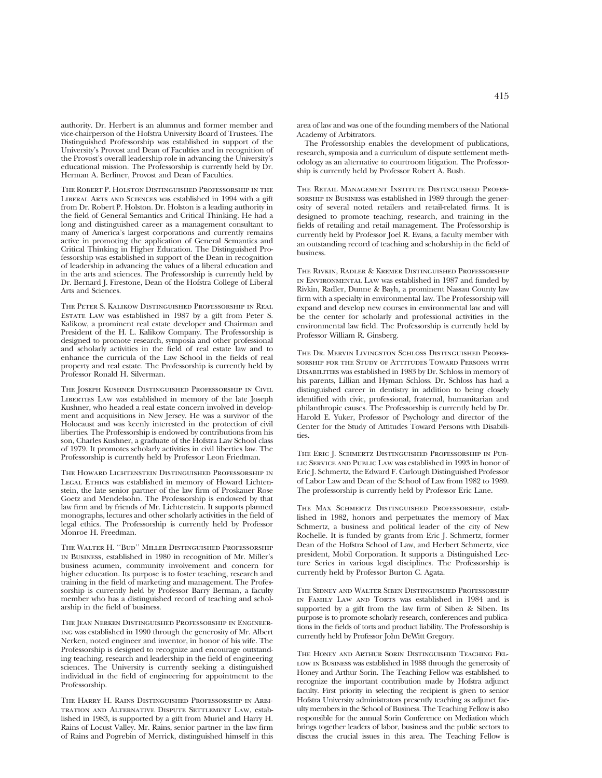authority. Dr. Herbert is an alumnus and former member and vice-chairperson of the Hofstra University Board of Trustees. The Distinguished Professorship was established in support of the University's Provost and Dean of Faculties and in recognition of the Provost's overall leadership role in advancing the University's educational mission. The Professorship is currently held by Dr. Herman A. Berliner, Provost and Dean of Faculties.

The Robert P. Holston Distinguished Professorship in the Liberal Arts and Sciences was established in 1994 with a gift from Dr. Robert P. Holston. Dr. Holston is a leading authority in the field of General Semantics and Critical Thinking. He had a long and distinguished career as a management consultant to many of America's largest corporations and currently remains active in promoting the application of General Semantics and Critical Thinking in Higher Education. The Distinguished Professorship was established in support of the Dean in recognition of leadership in advancing the values of a liberal education and in the arts and sciences. The Professorship is currently held by Dr. Bernard J. Firestone, Dean of the Hofstra College of Liberal Arts and Sciences.

The Peter S. Kalikow Distinguished Professorship in Real Estate Law was established in 1987 by a gift from Peter S. Kalikow, a prominent real estate developer and Chairman and President of the H. L. Kalikow Company. The Professorship is designed to promote research, symposia and other professional and scholarly activities in the field of real estate law and to enhance the curricula of the Law School in the fields of real property and real estate. The Professorship is currently held by Professor Ronald H. Silverman.

The Joseph Kushner Distinguished Professorship in Civil LIBERTIES LAW was established in memory of the late Joseph Kushner, who headed a real estate concern involved in development and acquisitions in New Jersey. He was a survivor of the Holocaust and was keenly interested in the protection of civil liberties. The Professorship is endowed by contributions from his son, Charles Kushner, a graduate of the Hofstra Law School class of 1979. It promotes scholarly activities in civil liberties law. The Professorship is currently held by Professor Leon Friedman.

The Howard Lichtenstein Distinguished Professorship in LEGAL ETHICS was established in memory of Howard Lichtenstein, the late senior partner of the law firm of Proskauer Rose Goetz and Mendelsohn. The Professorship is endowed by that law firm and by friends of Mr. Lichtenstein. It supports planned monographs, lectures and other scholarly activities in the field of legal ethics. The Professorship is currently held by Professor Monroe H. Freedman.

The Walter H. ''Bud'' Miller Distinguished Professorship in Business, established in 1980 in recognition of Mr. Miller's business acumen, community involvement and concern for higher education. Its purpose is to foster teaching, research and training in the field of marketing and management. The Professorship is currently held by Professor Barry Berman, a faculty member who has a distinguished record of teaching and scholarship in the field of business.

THE JEAN NERKEN DISTINGUISHED PROFESSORSHIP IN ENGINEERing was established in 1990 through the generosity of Mr. Albert Nerken, noted engineer and inventor, in honor of his wife. The Professorship is designed to recognize and encourage outstanding teaching, research and leadership in the field of engineering sciences. The University is currently seeking a distinguished individual in the field of engineering for appointment to the Professorship.

The Harry H. Rains Distinguished Professorship in Arbitration and Alternative Dispute Settlement Law, established in 1983, is supported by a gift from Muriel and Harry H. Rains of Locust Valley. Mr. Rains, senior partner in the law firm of Rains and Pogrebin of Merrick, distinguished himself in this

area of law and was one of the founding members of the National Academy of Arbitrators.

The Professorship enables the development of publications, research, symposia and a curriculum of dispute settlement methodology as an alternative to courtroom litigation. The Professorship is currently held by Professor Robert A. Bush.

The Retail Management Institute Distinguished Professorship in Business was established in 1989 through the generosity of several noted retailers and retail-related firms. It is designed to promote teaching, research, and training in the fields of retailing and retail management. The Professorship is currently held by Professor Joel R. Evans, a faculty member with an outstanding record of teaching and scholarship in the field of business.

The Rivkin, Radler & Kremer Distinguished Professorship in Environmental Law was established in 1987 and funded by Rivkin, Radler, Dunne & Bayh, a prominent Nassau County law firm with a specialty in environmental law. The Professorship will expand and develop new courses in environmental law and will be the center for scholarly and professional activities in the environmental law field. The Professorship is currently held by Professor William R. Ginsberg.

The Dr. Mervin Livingston Schloss Distinguished Professorship for the Study of Attitudes Toward Persons with Disabilities was established in 1983 by Dr. Schloss in memory of his parents, Lillian and Hyman Schloss. Dr. Schloss has had a distinguished career in dentistry in addition to being closely identified with civic, professional, fraternal, humanitarian and philanthropic causes. The Professorship is currently held by Dr. Harold E. Yuker, Professor of Psychology and director of the Center for the Study of Attitudes Toward Persons with Disabilities.

The Eric J. Schmertz Distinguished Professorship in Public Service and Public Law was established in 1993 in honor of Eric J. Schmertz, the Edward F. Carlough Distinguished Professor of Labor Law and Dean of the School of Law from 1982 to 1989. The professorship is currently held by Professor Eric Lane.

The Max Schmertz Distinguished Professorship, established in 1982, honors and perpetuates the memory of Max Schmertz, a business and political leader of the city of New Rochelle. It is funded by grants from Eric J. Schmertz, former Dean of the Hofstra School of Law, and Herbert Schmertz, vice president, Mobil Corporation. It supports a Distinguished Lecture Series in various legal disciplines. The Professorship is currently held by Professor Burton C. Agata.

The Sidney and Walter Siben Distinguished Professorship IN FAMILY LAW AND TORTS was established in 1984 and is supported by a gift from the law firm of Siben & Siben. Its purpose is to promote scholarly research, conferences and publications in the fields of torts and product liability. The Professorship is currently held by Professor John DeWitt Gregory.

The Honey and Arthur Sorin Distinguished Teaching Fellow in Business was established in 1988 through the generosity of Honey and Arthur Sorin. The Teaching Fellow was established to recognize the important contribution made by Hofstra adjunct faculty. First priority in selecting the recipient is given to senior Hofstra University administrators presently teaching as adjunct faculty members in the School of Business. The Teaching Fellow is also responsible for the annual Sorin Conference on Mediation which brings together leaders of labor, business and the public sectors to discuss the crucial issues in this area. The Teaching Fellow is